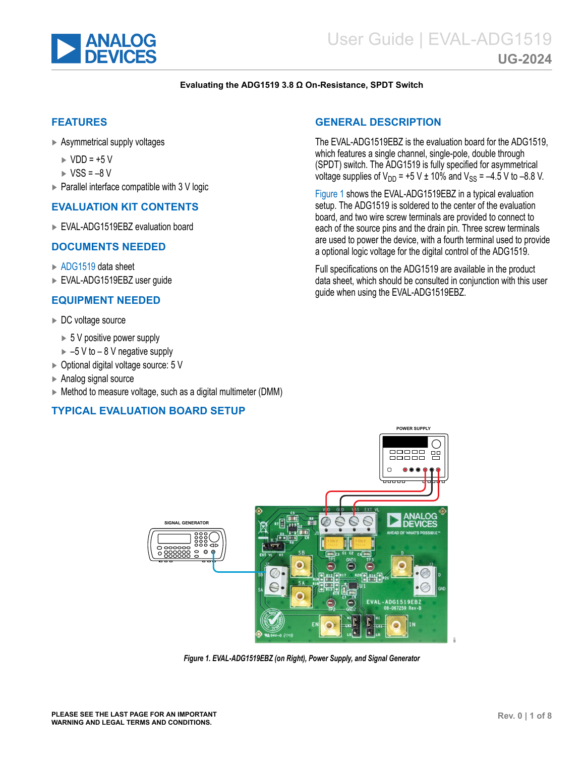<span id="page-0-0"></span>

#### **Evaluating the ADG1519 3.8 Ω On-Resistance, SPDT Switch**

#### **FEATURES**

- ► Asymmetrical supply voltages
	- $\triangleright$  VDD =  $+5$  V
	- $\triangleright$  VSS = -8 V
- ► Parallel interface compatible with 3 V logic

#### **EVALUATION KIT CONTENTS**

► EVAL-ADG1519EBZ evaluation board

#### **DOCUMENTS NEEDED**

- ► [ADG1519](http://www.analog.com/ADG1519) data sheet
- ► EVAL-ADG1519EBZ user guide

#### **EQUIPMENT NEEDED**

- ► DC voltage source
	- ► 5 V positive power supply
	- $\blacktriangleright$  –5 V to 8 V negative supply
- ► Optional digital voltage source: 5 V
- ► Analog signal source
- ► Method to measure voltage, such as a digital multimeter (DMM)

#### **TYPICAL EVALUATION BOARD SETUP**

### **GENERAL DESCRIPTION**

The EVAL-ADG1519EBZ is the evaluation board for the ADG1519, which features a single channel, single-pole, double through (SPDT) switch. The ADG1519 is fully specified for asymmetrical voltage supplies of  $V_{DD}$  = +5 V ± 10% and  $V_{SS}$  = -4.5 V to -8.8 V.

Figure 1 shows the EVAL-ADG1519EBZ in a typical evaluation setup. The ADG1519 is soldered to the center of the evaluation board, and two wire screw terminals are provided to connect to each of the source pins and the drain pin. Three screw terminals are used to power the device, with a fourth terminal used to provide a optional logic voltage for the digital control of the ADG1519.

Full specifications on the ADG1519 are available in the product data sheet, which should be consulted in conjunction with this user guide when using the EVAL-ADG1519EBZ.



*Figure 1. EVAL-ADG1519EBZ (on Right), Power Supply, and Signal Generator*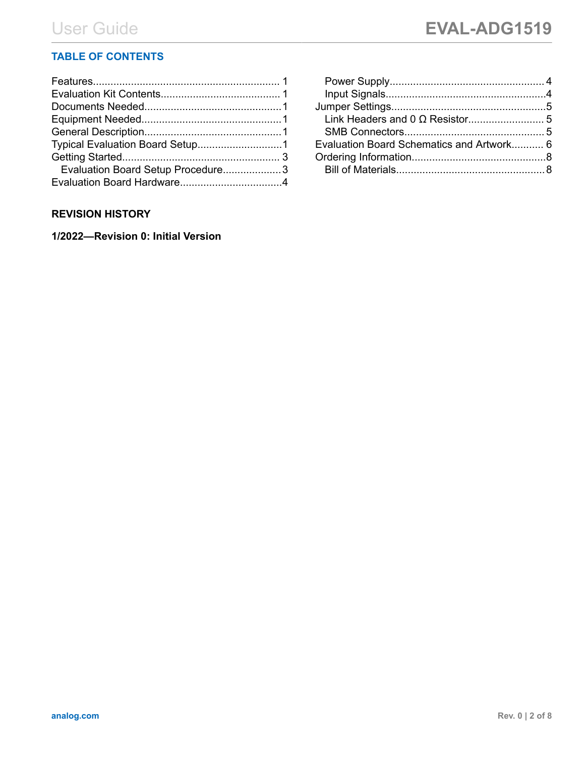# **TABLE OF CONTENTS**

| Evaluation Board Setup Procedure3 |  |
|-----------------------------------|--|
|                                   |  |
|                                   |  |

## **REVISION HISTORY**

**1/2022—Revision 0: Initial Version**

| Evaluation Board Schematics and Artwork 6 |  |
|-------------------------------------------|--|
|                                           |  |
|                                           |  |
|                                           |  |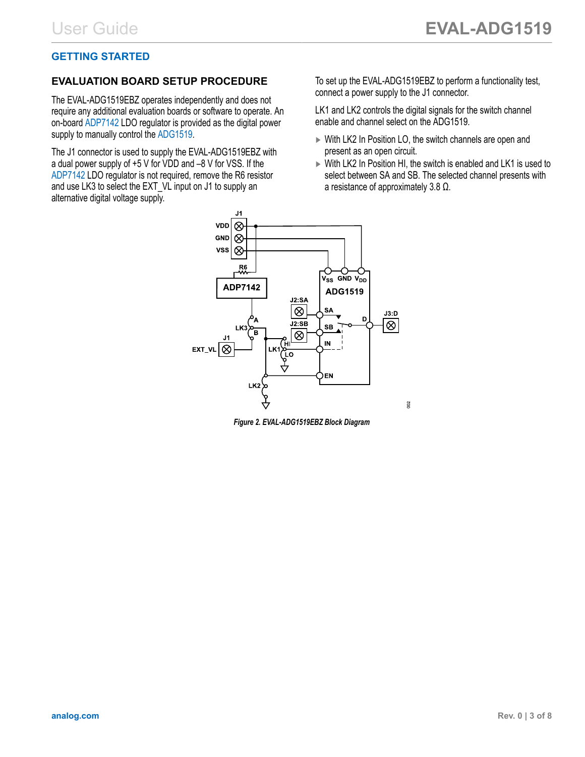# <span id="page-2-0"></span>**GETTING STARTED**

## **EVALUATION BOARD SETUP PROCEDURE**

The EVAL-ADG1519EBZ operates independently and does not require any additional evaluation boards or software to operate. An on-board [ADP7142](https://www.analog.com/ADP7142) LDO regulator is provided as the digital power supply to manually control the [ADG1519.](http://www.analog.com/ADG1519)

The J1 connector is used to supply the EVAL-ADG1519EBZ with a dual power supply of +5 V for VDD and –8 V for VSS. If the [ADP7142](https://www.analog.com/ADP7142) LDO regulator is not required, remove the R6 resistor and use LK3 to select the EXT VL input on J1 to supply an alternative digital voltage supply.

To set up the EVAL-ADG1519EBZ to perform a functionality test, connect a power supply to the J1 connector.

LK1 and LK2 controls the digital signals for the switch channel enable and channel select on the ADG1519.

- ► With LK2 In Position LO, the switch channels are open and present as an open circuit.
- ► With LK2 In Position HI, the switch is enabled and LK1 is used to select between SA and SB. The selected channel presents with a resistance of approximately 3.8 Ω.



*Figure 2. EVAL-ADG1519EBZ Block Diagram*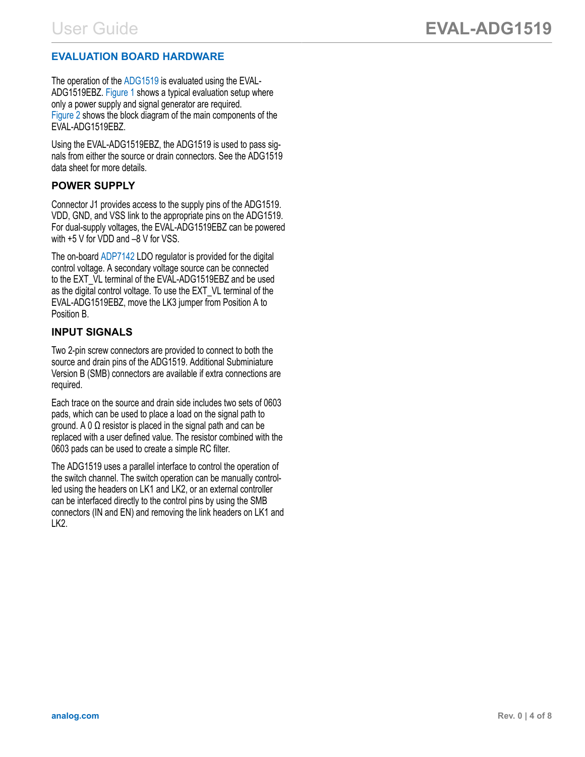# <span id="page-3-0"></span>**EVALUATION BOARD HARDWARE**

The operation of the [ADG1519](http://www.analog.com/ADG1519) is evaluated using the EVAL-ADG1519EBZ. [Figure 1](#page-0-0) shows a typical evaluation setup where only a power supply and signal generator are required. [Figure 2](#page-2-0) shows the block diagram of the main components of the EVAL-ADG1519EBZ.

Using the EVAL-ADG1519EBZ, the ADG1519 is used to pass signals from either the source or drain connectors. See the ADG1519 data sheet for more details.

### **POWER SUPPLY**

Connector J1 provides access to the supply pins of the ADG1519. VDD, GND, and VSS link to the appropriate pins on the ADG1519. For dual-supply voltages, the EVAL-ADG1519EBZ can be powered with +5 V for VDD and –8 V for VSS.

The on-board [ADP7142](https://www.analog.com/ADP7142) LDO regulator is provided for the digital control voltage. A secondary voltage source can be connected to the EXT VL terminal of the EVAL-ADG1519EBZ and be used as the digital control voltage. To use the EXT\_VL terminal of the EVAL-ADG1519EBZ, move the LK3 jumper from Position A to Position B.

## **INPUT SIGNALS**

Two 2-pin screw connectors are provided to connect to both the source and drain pins of the ADG1519. Additional Subminiature Version B (SMB) connectors are available if extra connections are required.

Each trace on the source and drain side includes two sets of 0603 pads, which can be used to place a load on the signal path to ground. A 0 Ω resistor is placed in the signal path and can be replaced with a user defined value. The resistor combined with the 0603 pads can be used to create a simple RC filter.

The ADG1519 uses a parallel interface to control the operation of the switch channel. The switch operation can be manually controlled using the headers on LK1 and LK2, or an external controller can be interfaced directly to the control pins by using the SMB connectors (IN and EN) and removing the link headers on LK1 and LK2.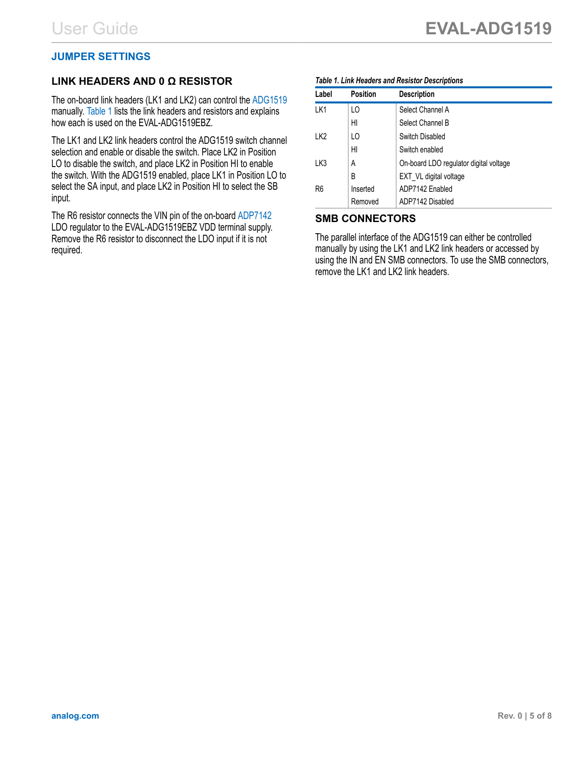## <span id="page-4-0"></span>**JUMPER SETTINGS**

## **LINK HEADERS AND 0 Ω RESISTOR**

The on-board link headers (LK1 and LK2) can control the [ADG1519](https://www.analog.com/ADG1519) manually. Table 1 lists the link headers and resistors and explains how each is used on the EVAL-ADG1519EBZ.

The LK1 and LK2 link headers control the ADG1519 switch channel selection and enable or disable the switch. Place LK2 in Position LO to disable the switch, and place LK2 in Position HI to enable the switch. With the ADG1519 enabled, place LK1 in Position LO to select the SA input, and place LK2 in Position HI to select the SB input.

The R6 resistor connects the VIN pin of the on-board [ADP7142](https://www.analog.com/ADP7142?doc=EVAL-ADG5401FEBZ-UG-1755.pdf) LDO regulator to the EVAL-ADG1519EBZ VDD terminal supply. Remove the R6 resistor to disconnect the LDO input if it is not required.

#### *Table 1. Link Headers and Resistor Descriptions*

| Label          | <b>Position</b> | <b>Description</b>                     |
|----------------|-----------------|----------------------------------------|
| LK1            | LO              | Select Channel A                       |
|                | HI              | Select Channel B                       |
| LK2            | LO              | Switch Disabled                        |
|                | HI              | Switch enabled                         |
| LK3            | А               | On-board LDO regulator digital voltage |
|                | В               | EXT VL digital voltage                 |
| R <sub>6</sub> | Inserted        | ADP7142 Enabled                        |
|                | Removed         | ADP7142 Disabled                       |

#### **SMB CONNECTORS**

The parallel interface of the ADG1519 can either be controlled manually by using the LK1 and LK2 link headers or accessed by using the IN and EN SMB connectors. To use the SMB connectors, remove the LK1 and LK2 link headers.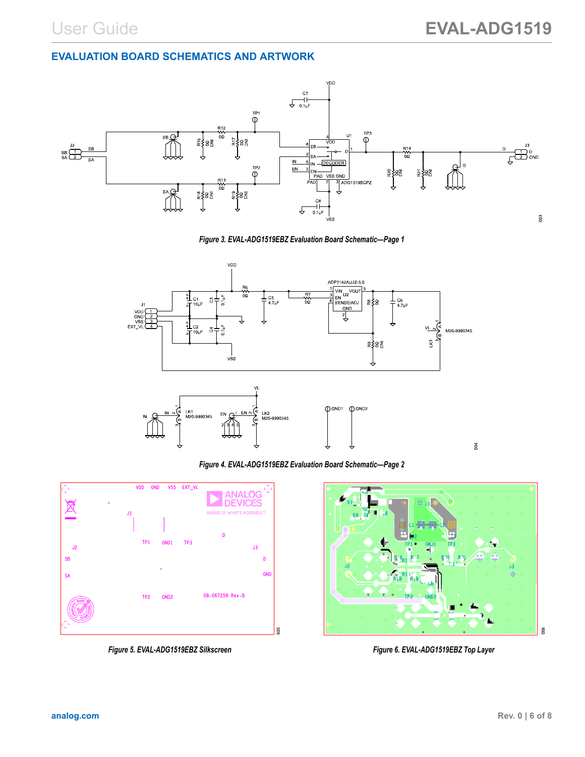## <span id="page-5-0"></span>**EVALUATION BOARD SCHEMATICS AND ARTWORK**



*Figure 3. EVAL-ADG1519EBZ Evaluation Board Schematic—Page 1*



*Figure 4. EVAL-ADG1519EBZ Evaluation Board Schematic—Page 2*



*Figure 5. EVAL-ADG1519EBZ Silkscreen Figure 6. EVAL-ADG1519EBZ Top Layer*

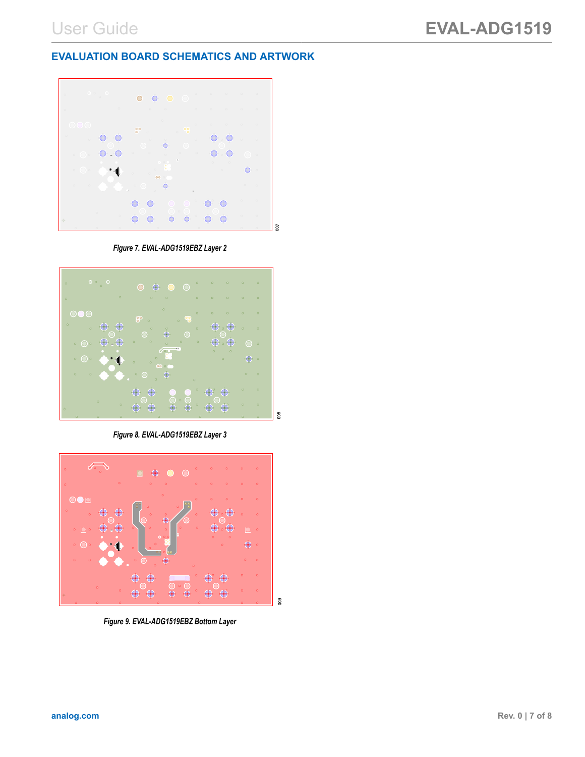### **EVALUATION BOARD SCHEMATICS AND ARTWORK**



*Figure 7. EVAL-ADG1519EBZ Layer 2*



*Figure 8. EVAL-ADG1519EBZ Layer 3*



*Figure 9. EVAL-ADG1519EBZ Bottom Layer*